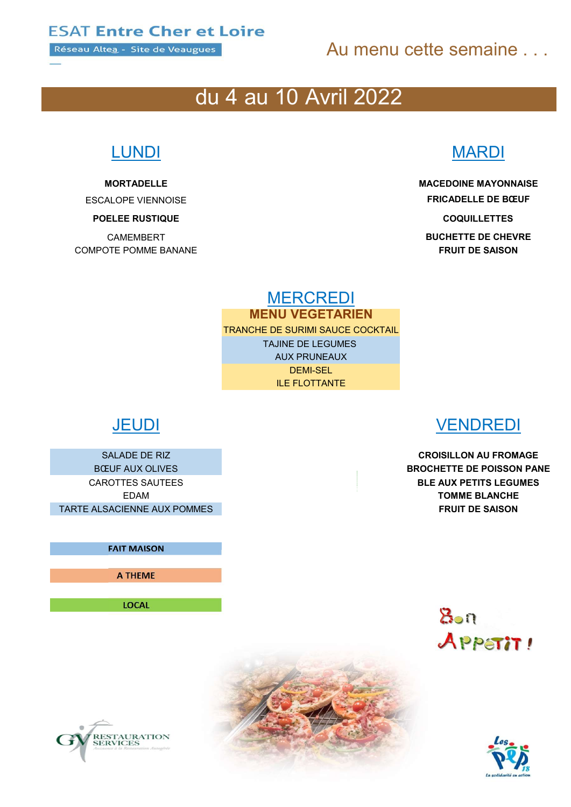Réseau Altea - Site de Veaugues

# Au menu cette semaine

# du 4 au 10 Avril 2022

COMPOTE POMME BANANE FRUIT DE SAISON

# LUNDI MARDI

MORTADELLE MACEDOINE MAYONNAISE ESCALOPE VIENNOISE **ESCALOPE VIENNOISE** POELEE RUSTIQUE ET A LOCALIT ANNUAL COQUILLETTES

CAMEMBERT **BUCHETTE DE CHEVRE** 

MERCREDI MENU VEGETARIEN

TRANCHE DE SURIMI SAUCE COCKTAIL TAJINE DE LEGUMES AUX PRUNEAUX DEMI-SEL ILE FLOTTANTE

TARTE ALSACIENNE AUX POMMES **EXECUTE AUX ENGLISHED AUX ENGLISHED AUX ENGLISHED AUX ENGLISHED AUX ENGLISHED AUX E** 

FAIT MAISON

A THEME

LOCAL

RESTAURATION<br>SERVICES

# JEUDI VENDREDI

SALADE DE RIZ CROISILLON AU FROMAGE BŒUF AUX OLIVES **BROCHETTE DE POISSON PANE** CAROTTES SAUTEES BLE AUX PETITS LEGUMES EDAM TOMME BLANCHE

> $8 - n$ APPETIT!



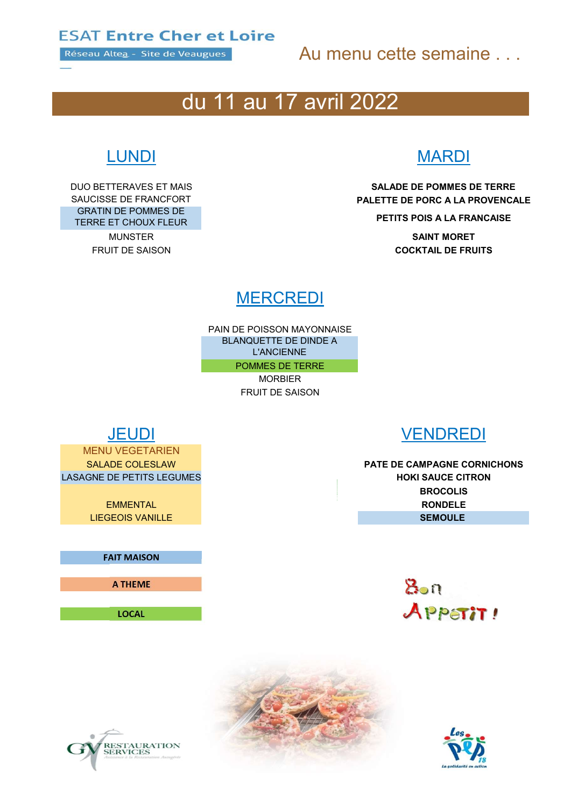Réseau Altea - Site de Veaugues

# Au menu cette semaine . . .

# du 11 au 17 avril 2022

GRATIN DE POMMES DE TERRE ET CHOUX FLEUR PETITS POIS A LA FRANCAISE

# LUNDI MARDI

DUO BETTERAVES ET MAIS SALADE DE POMMES DE TERRE SAUCISSE DE FRANCFORT **EXECUTEM ENTITE DE PORC A LA PROVENCALE** 

MUNSTER **SAINT MORET FRUIT DE SAISON COCKTAIL DE FRUITS** 

# **MERCREDI**

PAIN DE POISSON MAYONNAISE BLANQUETTE DE DINDE A L'ANCIENNE POMMES DE TERRE

MORBIER

FRUIT DE SAISON

MENU VEGETARIEN LASAGNE DE PETITS LEGUMES **HOKI SAUCE CITRON** 

FAIT MAISON

A THEME

LOCAL



SALADE COLESLAW PATE DE CAMPAGNE CORNICHONS **BROCOLIS** EMMENTAL RONDELE LIEGEOIS VANILLE SEMOULE







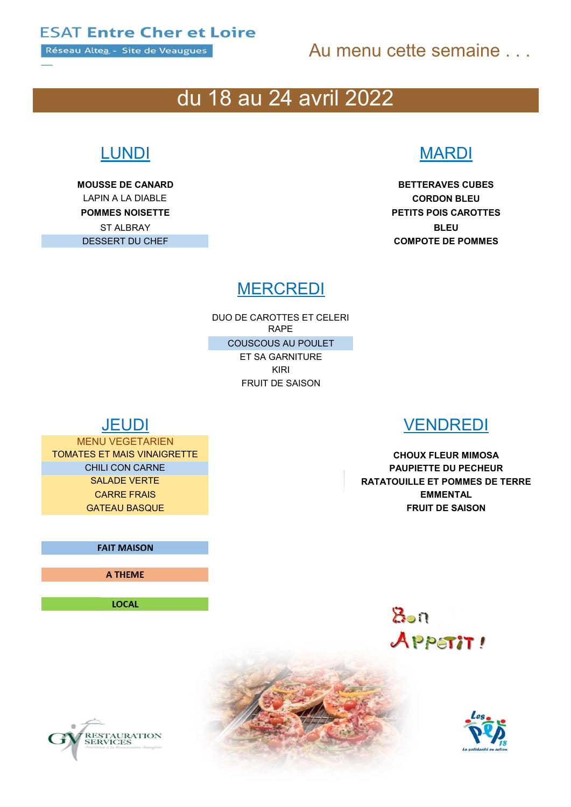Réseau Altea - Site de Veaugues

# Au menu cette semaine . . .

# du 18 au 24 avril 2022

MOUSSE DE CANARD BETTERAVES CUBES LAPIN A LA DIABLE CORDON BLEU ST ALBRAY **BLEU** 

# LUNDI MARDI

POMMES NOISETTE **POMMES NOISETTE** DESSERT DU CHEF COMPOTE DE POMMES

# **MERCREDI**

DUO DE CAROTTES ET CELERI RAPE COUSCOUS AU POULET ET SA GARNITURE KIRI FRUIT DE SAISON

MENU VEGETARIEN TOMATES ET MAIS VINAIGRETTE AND THE CHOUX FLEUR MIMOSA

FAIT MAISON

A THEME

LOCAL





CHILI CON CARNE **PAUPIETTE DU PECHEUR** SALADE VERTE ET POMMES DE TERRE **CARRE FRAIS EMMENTAL GATEAU BASQUE FRUIT DE SAISON** 

> $8$ on APPETIT!

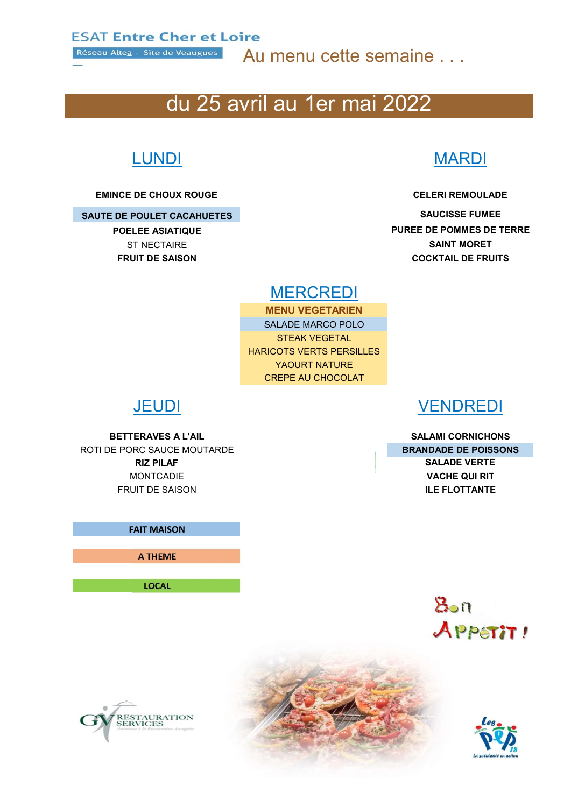Réseau Altea - Site de Veaugues

Au menu cette semaine . . .

# du 25 avril au 1er mai 2022

## EMINCE DE CHOUX ROUGE CELERI REMOULADE

## SAUTE DE POULET CACAHUETES SAUCISSE FUMEE

# LUNDI MARDI

POELEE ASIATIQUE **PURE DE POMMES DE TERRE** ST NECTAIRE **SAINT MORET** FRUIT DE SAISON COCKTAIL DE FRUITS

## **MERCREDI**

MENU VEGETARIEN SALADE MARCO POLO STEAK VEGETAL HARICOTS VERTS PERSILLES YAOURT NATURE CREPE AU CHOCOLAT

ROTI DE PORC SAUCE MOUTARDE **BRANDADE DE POISSONS** RIZ PILAF SALADE VERTE MONTCADIE VACHE QUI RIT **FRUIT DE SAISON ILE FLOTTANTE** 

FAIT MAISON

A THEME

LOCAL

## JEUDI VENDREDI

BETTERAVES A L'AIL SALAMI CORNICHONS





RESTAURATION<br>SERVICES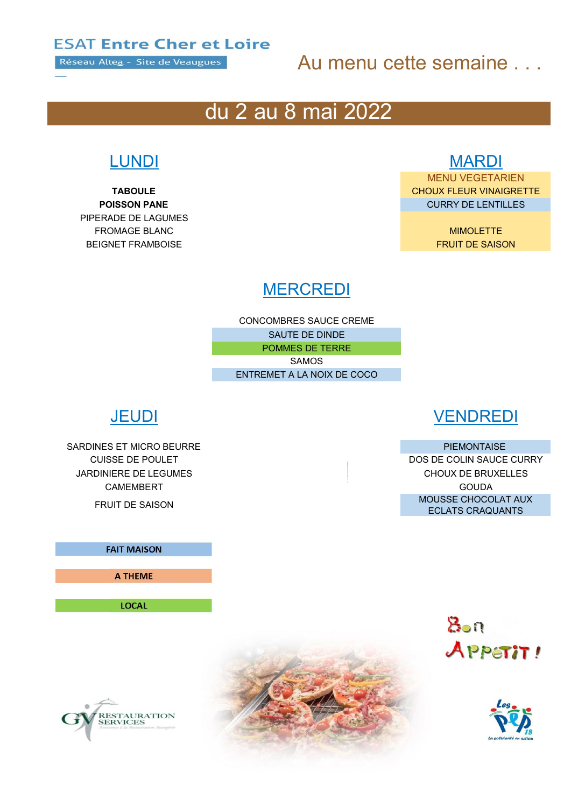Réseau Altea - Site de Veaugues

# Au menu cette semaine . . .

# du 2 au 8 mai 2022

PIPERADE DE LAGUMES **FROMAGE BLANC MIMOLETTE BEIGNET FRAMBOISE** FRAMBOISE THE SAISON SERVER AND THE SAISON SERVER ASSESSED. THE SAISON SERVER ASSESSED.

# LUNDI MARDI

MENU VEGETARIEN **TABOULE** TABOULE **CHOUX FLEUR VINAIGRETTE POISSON PANE** CURRY DE LENTILLES

# **MERCREDI**

CONCOMBRES SAUCE CREME SAUTE DE DINDE POMMES DE TERRE SAMOS ENTREMET A LA NOIX DE COCO

SARDINES ET MICRO BEURRE PIEMONTAISE SARDINES ET MICRO BEURRE JARDINIERE DE LEGUMES CHOUX DE BRUXELLES CAMEMBERT GOUDA

## FAIT MAISON

A THEME

LOCAL



CUISSE DE POULET DOS DE COLIN SAUCE CURRY FRUIT DE SAISON MOUSSE CHOCOLAT AUX ECLATS CRAQUANTS